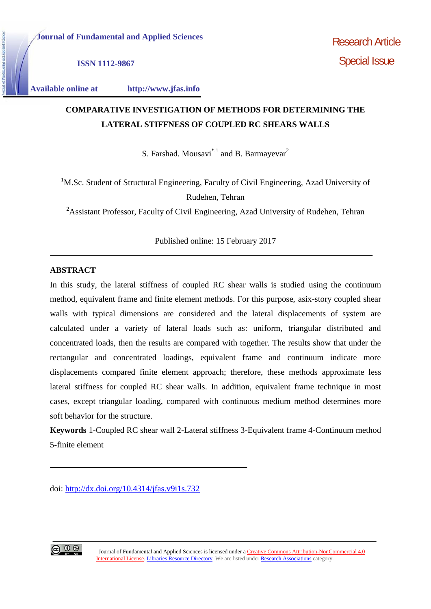**ISSN 1112-9867**

**Available online at http://www.jfas.info**

# **COMPARATIVE INVESTIGATION OF METHODS FOR DETERMINING THE LATERAL STIFFNESS OF COUPLED RC SHEARS WALLS**

S. Farshad. Mousavi<sup>\*,1</sup> and B. Barmayevar<sup>2</sup>

<sup>1</sup>M.Sc. Student of Structural Engineering, Faculty of Civil Engineering, Azad University of Rudehen, Tehran

<sup>2</sup>Assistant Professor, Faculty of Civil Engineering, Azad University of Rudehen, Tehran

Published online: 15 February 2017

# **ABSTRACT**

In this study, the lateral stiffness of coupled RC shear walls is studied using the continuum method, equivalent frame and finite element methods. For this purpose, asix-story coupled shear walls with typical dimensions are considered and the lateral displacements of system are calculated under a variety of lateral loads such as: uniform, triangular distributed and concentrated loads, then the results are compared with together. The results show that under the rectangular and concentrated loadings, equivalent frame and continuum indicate more displacements compared finite element approach; therefore, these methods approximate less lateral stiffness for coupled RC shear walls. In addition, equivalent frame technique in most cases, except triangular loading, compared with continuous medium method determines more soft behavior for the structure.

**Keywords** 1-Coupled RC shear wall 2-Lateral stiffness 3-Equivalent frame 4-Continuum method 5-finite element

doi: http://dx.doi.org/10.4314/jfas.v9i1s.732

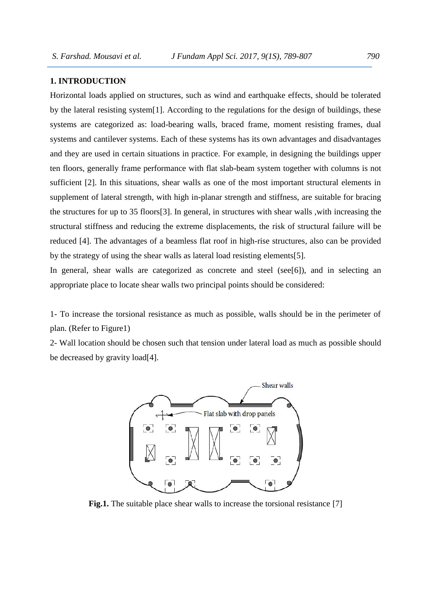#### **1. INTRODUCTION**

Horizontal loads applied on structures, such as wind and earthquake effects, should be tolerated by the lateral resisting system[1]. According to the regulations for the design of buildings, these systems are categorized as: load-bearing walls, braced frame, moment resisting frames, dual systems and cantilever systems. Each of these systems has its own advantages and disadvantages and they are used in certain situations in practice. For example, in designing the buildings upper ten floors, generally frame performance with flat slab-beam system together with columns is not sufficient [2]. In this situations, shear walls as one of the most important structural elements in supplement of lateral strength, with high in-planar strength and stiffness, are suitable for bracing the structures for up to 35 floors[3]. In general, in structures with shear walls ,with increasing the structural stiffness and reducing the extreme displacements, the risk of structural failure will be reduced [4]. The advantages of a beamless flat roof in high-rise structures, also can be provided by the strategy of using the shear walls as lateral load resisting elements[5].

In general, shear walls are categorized as concrete and steel (see [6]), and in selecting an appropriate place to locate shear walls two principal points should be considered:

1- To increase the torsional resistance as much as possible, walls should be in the perimeter of plan. (Refer to Figure1)

2- Wall location should be chosen such that tension under lateral load as much as possible should be decreased by gravity load[4].



**Fig.1.** The suitable place shear walls to increase the torsional resistance [7]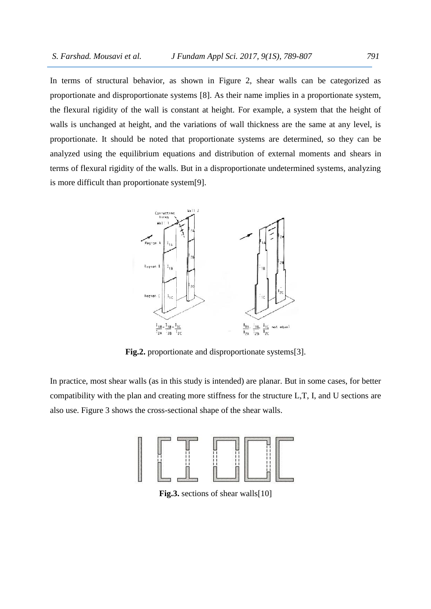In terms of structural behavior, as shown in Figure 2, shear walls can be categorized as proportionate and disproportionate systems [8]. As their name implies in a proportionate system, the flexural rigidity of the wall is constant at height. For example, a system that the height of walls is unchanged at height, and the variations of wall thickness are the same at any level, is proportionate. It should be noted that proportionate systems are determined, so they can be analyzed using the equilibrium equations and distribution of external moments and shears in terms of flexural rigidity of the walls. But in a disproportionate undetermined systems, analyzing is more difficult than proportionate system[9].



**Fig.2.** proportionate and disproportionate systems[3].

In practice, most shear walls (as in this study is intended) are planar. But in some cases, for better compatibility with the plan and creating more stiffness for the structure L,T, I, and U sections are also use. Figure 3 shows the cross-sectional shape of the shear walls.



**Fig.3.** sections of shear walls[10]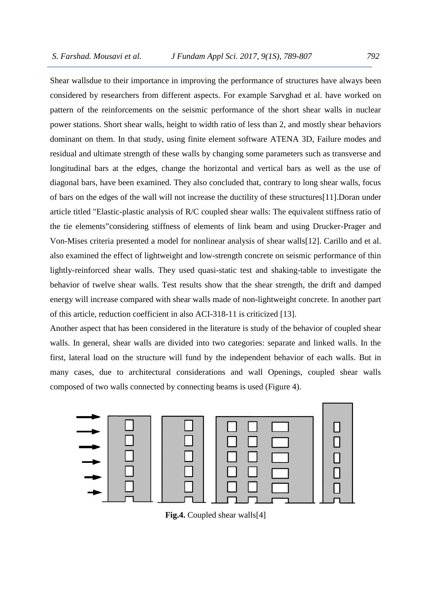Shear wallsdue to their importance in improving the performance of structures have always been considered by researchers from different aspects. For example Sarvghad et al. have worked on pattern of the reinforcements on the seismic performance of the short shear walls in nuclear power stations. Short shear walls, height to width ratio of less than 2, and mostly shear behaviors dominant on them. In that study, using finite element software ATENA 3D, Failure modes and residual and ultimate strength of these walls by changing some parameters such as transverse and longitudinal bars at the edges, change the horizontal and vertical bars as well as the use of diagonal bars, have been examined. They also concluded that, contrary to long shear walls, focus of bars on the edges of the wall will not increase the ductility of these structures[11].Doran under article titled "Elastic-plastic analysis of R/C coupled shear walls: The equivalent stiffness ratio of the tie elements"considering stiffness of elements of link beam and using Drucker-Prager and Von-Mises criteria presented a model for nonlinear analysis of shear walls[12]. Carillo and et al. also examined the effect of lightweight and low-strength concrete on seismic performance of thin lightly-reinforced shear walls. They used quasi-static test and shaking-table to investigate the behavior of twelve shear walls. Test results show that the shear strength, the drift and damped energy will increase compared with shear walls made of non-lightweight concrete. In another part of this article, reduction coefficient in also ACI-318-11 is criticized [13].

Another aspect that has been considered in the literature is study of the behavior of coupled shear walls. In general, shear walls are divided into two categories: separate and linked walls. In the first, lateral load on the structure will fund by the independent behavior of each walls. But in many cases, due to architectural considerations and wall Openings, coupled shear walls composed of two walls connected by connecting beams is used (Figure 4).



**Fig.4.** Coupled shear walls[4]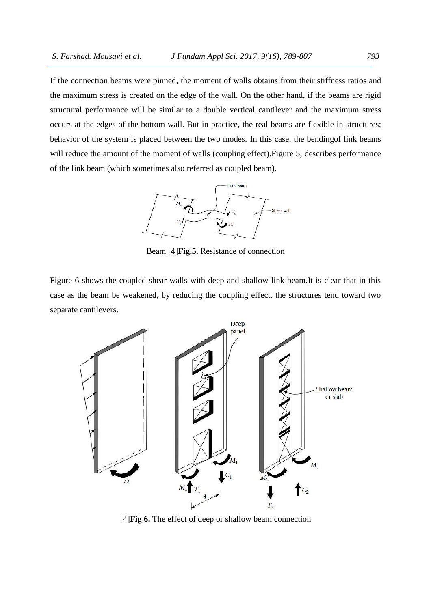If the connection beams were pinned, the moment of walls obtains from their stiffness ratios and the maximum stress is created on the edge of the wall. On the other hand, if the beams are rigid structural performance will be similar to a double vertical cantilever and the maximum stress occurs at the edges of the bottom wall. But in practice, the real beams are flexible in structures; behavior of the system is placed between the two modes. In this case, the bendingof link beams will reduce the amount of the moment of walls (coupling effect). Figure 5, describes performance of the link beam (which sometimes also referred as coupled beam).



Beam [4]**Fig.5.** Resistance of connection

Figure 6 shows the coupled shear walls with deep and shallow link beam.It is clear that in this case as the beam be weakened, by reducing the coupling effect, the structures tend toward two separate cantilevers.



[4]**Fig 6.** The effect of deep or shallow beam connection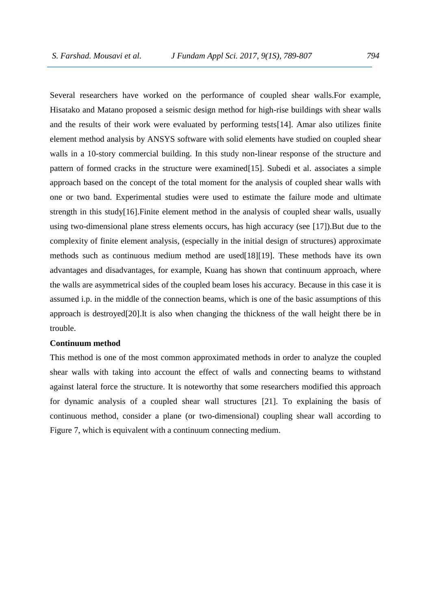Several researchers have worked on the performance of coupled shear walls.For example, Hisatako and Matano proposed a seismic design method for high-rise buildings with shear walls and the results of their work were evaluated by performing tests[14]. Amar also utilizes finite element method analysis by ANSYS software with solid elements have studied on coupled shear walls in a 10-story commercial building. In this study non-linear response of the structure and pattern of formed cracks in the structure were examined[15]. Subedi et al. associates a simple approach based on the concept of the total moment for the analysis of coupled shear walls with one or two band. Experimental studies were used to estimate the failure mode and ultimate strength in this study[16].Finite element method in the analysis of coupled shear walls, usually using two-dimensional plane stress elements occurs, has high accuracy (see [17]).But due to the complexity of finite element analysis, (especially in the initial design of structures) approximate methods such as continuous medium method are used[18][19]. These methods have its own advantages and disadvantages, for example, Kuang has shown that continuum approach, where the walls are asymmetrical sides of the coupled beam loses his accuracy. Because in this case it is assumed i.p. in the middle of the connection beams, which is one of the basic assumptions of this approach is destroyed[20].It is also when changing the thickness of the wall height there be in trouble.

#### **Continuum method**

This method is one of the most common approximated methods in order to analyze the coupled shear walls with taking into account the effect of walls and connecting beams to withstand against lateral force the structure. It is noteworthy that some researchers modified this approach for dynamic analysis of a coupled shear wall structures [21]. To explaining the basis of continuous method, consider a plane (or two-dimensional) coupling shear wall according to Figure 7, which is equivalent with a continuum connecting medium.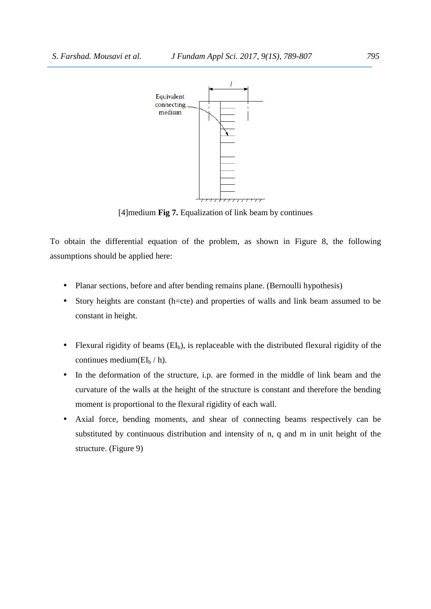

[4]medium **Fig 7.** Equalization of link beam by continues

To obtain the differential equation of the problem, as shown in Figure 8, the following assumptions should be applied here:

- Planar sections, before and after bending remains plane. (Bernoulli hypothesis)
- Story heights are constant (h=cte) and properties of walls and link beam assumed to be constant in height.
- Flexural rigidity of beams  $(EI_b)$ , is replaceable with the distributed flexural rigidity of the continues medium( $EI<sub>b</sub> / h$ ).
- In the deformation of the structure, i.p. are formed in the middle of link beam and the curvature of the walls at the height of the structure is constant and therefore the bending moment is proportional to the flexural rigidity of each wall.
- Axial force, bending moments, and shear of connecting beams respectively can be substituted by continuous distribution and intensity of n, q and m in unit height of the structure. (Figure 9)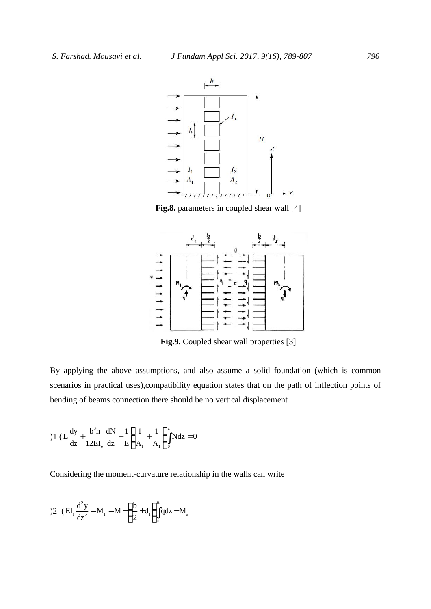

**Fig.8.** parameters in coupled shear wall [4]



**Fig.9.** Coupled shear wall properties [3]

By applying the above assumptions, and also assume a solid foundation (which is common scenarios in practical uses),compatibility equation states that on the path of inflection points of bending of beams connection there should be no vertical displacement **EXECUTE:**  $\frac{1}{2}$  **EXECUTE:**  $\frac{1}{2}$  **EXECUTE:**  $\frac{1}{2}$  **EV**<br>**EIG.9. Coupled shear wall properties** [3]<br>applying the above assumptions, and also assume a solid foundation (which is common<br>arios in practical uses),c Fig.9. Coupled shear wall pro<br>
Fig.9. Coupled shear wall pro<br>
lying the above assumptions, and also assume a so<br>
so in practical uses), compatibility equation states that<br>
of beams connection there should be no vertical d **EXECUTE:** Fig.9. Coupled shear wall properties [3]<br>
Fig.9. Coupled shear wall properties [3]<br>
g the above assumptions, and also assume a solid foundation<br>
practical uses), compatibility equation states that on the path o

)1 (L 
$$
\frac{dy}{dz}
$$
 +  $\frac{b^3 h}{12EI_e} \frac{dN}{dz} - \frac{1}{E} \left( \frac{1}{A_1} + \frac{1}{A_1} \right)_0^z Ndz = 0$   
\nConsidering the moment-curvature relationship in the wall  
\n)  
\n2 (EI<sub>1</sub>  $\frac{d^2y}{dz^2} = M_1 = M - \left( \frac{b}{2} + d_1 \right)_z^H qdz - M_a$ 

Considering the moment-curvature relationship in the walls can write

$$
2 \quad \text{(EI.} \frac{d^2 y}{dz^2} = M_1 = M - \left(\frac{b}{2} + d_1\right) \int_z^H q dz - M_a
$$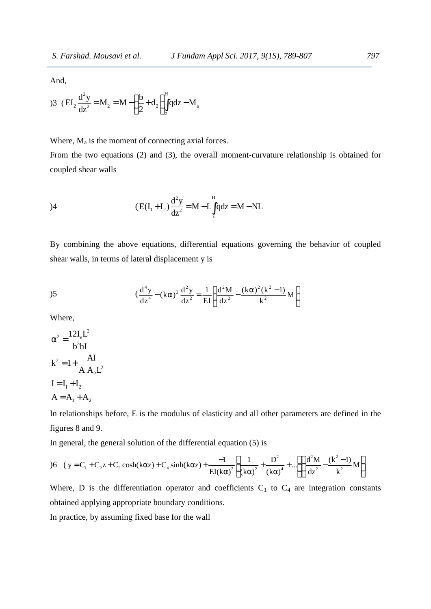And,

S. Farshad. Mousavi et al. J Fundam Appl Sci. 2017, 9(1S),  
And,  
33 
$$
(EI_2 \frac{d^2y}{dz^2} = M_2 = M - (\frac{b}{2} + d_2) \int_z^H qdz - M_a
$$
  
Where. M<sub>a</sub> is the moment of connecting axial forces.

Where,  $M_a$  is the moment of connecting axial forces.

arshad. Mousavi et al. J Fundam Appl Sci. 2017, 9(15), 789-807 797<br>  $E_1 \frac{d^2y}{dz^2} = M_2 = M - \left(\frac{b}{2} + d_2\right) \int_z^H q dz - M_a$ <br>
re, M<sub>a</sub> is the moment of connecting axial forces.<br>
the two equations (2) and (3), the overall moment and. Mousavi et al. J Fundam Appl Sci. 2017, 9(1S)<br>  $\frac{d^2y}{dz^2} = M_2 = M - \left(\frac{b}{2} + d_2\right) \int_2^H q dz - M_a$ <br>
M<sub>a</sub> is the moment of connecting axial forces.<br>
e two equations (2) and (3), the overall moment-curvature shear walls Mousavi et al. J Fundam Appl Sci. 2017, 9(1S), 789-807<br>= M<sub>2</sub> = M -  $\left(\frac{b}{2} + d_2\right)^H_2$  dz - M<sub>a</sub><br>s the moment of connecting axial forces.<br>o equations (2) and (3), the overall moment-curvature relationship is From the two equations (2) and (3), the overall moment-curvature relationship is obtained for coupled shear walls *J Fundam Appl Sci. 2017, 9(1S), 789-807* 797<br>
1<sub>2</sub>  $\int_{r_2}^{r_1} 4dz - M_a$ <br>
pnnecting axial forces.<br>
All (3), the overall moment-curvature relationship is obtained for<br>  $+I_2$ ,  $\frac{d^2y}{dz^2} = M - L \int_{z}^{H} qdz = M - NL$ <br>
ations, diff

33 
$$
(EL_2 \frac{d^2y}{dz^2} = M_2 = M - \left(\frac{b}{2} + d_2\right)_z^H q dz - M_a
$$
  
\nWhere,  $M_a$  is the moment of connecting axial forces.  
\nFrom the two equations (2) and (3), the overall moment-curvature relationship  
\ncoupled shear walls  
\n4  
\n
$$
(Ed_1 + I_2) \frac{d^2y}{dz^2} = M - L \int_z^H q dz = M - NL
$$
  
\nBy combining the above equations, differential equations governing the behav  
\nshear walls, in terms of lateral displacement y is  
\n5  
\n
$$
\left(\frac{d^4y}{dz^4} - (k\alpha)^2 \frac{d^2y}{dz^2} = \frac{1}{EI} \left(\frac{d^2M}{dz^2} - \frac{(k\alpha)^2(k^2 - 1)}{k^2} M\right)
$$
  
\nWhere,  
\n
$$
\alpha^2 = \frac{12l_eL^2}{b^3hI}
$$
  
\n
$$
k^2 = 1 + \frac{AI}{A_1A_2L^2}
$$
  
\n $I = I_1 + I_2$   
\n $A = A_1 + A_2$   
\nIn relationships before, E is the modulus of elasticity and all other parameters ar  
\nfigures 8 and 9.  
\nIn general, the general solution of the differential equation (5) is

*J Fundam Appl Sci. 2017, 9(1S), 789-807* 797<br>  $\frac{b}{2} + d_2 \int_{k}^{H} qdz - M_a$ <br>
of connecting axial forces.<br>
2) and (3), the overall moment-curvature relationship is obtained for<br>  $E(I_1 + I_2) \frac{d^2y}{dz^2} = M - L \int_{k}^{H} qdz = M - NL$ <br>
equ By combining the above equations, differential equations governing the behavior of coupled shear walls, in terms of lateral displacement y is coupled shear walls<br>  $(E(I_1 + I_2) \frac{d^2y}{dz^2} = M - L \int_A^H q dz = M - NL$ <br>
By combining the above equations, differential equations governing the behavior of<br>
shear walls, in terms of lateral displacement y is<br>  $(\frac{d^4y}{dz^4} - (k\alpha)^2 \frac{d$  $\frac{b}{2} + d_2 \int_z^1 q dz - M_a$ <br>
of connecting axial forces.<br>
2) and (3), the overall moment-curvature relationship is obtained for<br>  $E(I_1 + I_2) \frac{d^2 y}{dz^2} = M - L \int_z^{\text{II}} q dz = M - NI$ .<br>
equations, differential equations governing the beh  $\frac{b}{2} + d_2 \int_{\lambda}^{H} qdz - M_a$ <br>
of connecting axial forces.<br>
2) and (3), the overall moment-curvature relationship is obtained for<br>  $E(I_1 + I_2) \frac{d^2y}{dz^2} = M - L \int_{z}^{H} qdz = M - NL$ <br>
equations, differential equations governing the b rces.<br>
Il moment-curvature relationship is obtained for<br>  $\int_{z}^{H} qdz = M - NL$ <br>
al equations governing the behavior of coupled<br>  $\left(\frac{d^2M}{dz^2} - \frac{(k\alpha)^2(k^2 - 1)}{k^2}M\right)$ annecting axial forces.<br>
Superior and (3), the overall moment-curvature relationship is obtained for<br>  $+1_2 \frac{d^2y}{dz^2} = M - L \int_z^H q dz = M - NL$ <br>
ations, differential equations governing the behavior of coupled<br>
displacement y is<br> Shear walls<br>  $(E(I_1 + I_2) \frac{d^2y}{dz^2} = M - L \int_z^H q dz = M - NL$ <br>
bining the above equations, differential equations go<br>
alls, in terms of lateral displacement y is<br>  $(\frac{d^4y}{dz^4} - (k\alpha)^2 \frac{d^2y}{dz^2} = \frac{1}{EI} \left(\frac{d^2M}{dz^2} - \frac{(k\alpha)^2 (l\alpha)^$ (E(I<sub>1</sub> + I<sub>2</sub>)  $\frac{d^2y}{dz^2} = M - L \int_z^H qdz = M - NL$ <br>
By combining the above equations, differential equations governishear walls, in terms of lateral displacement y is<br>  $(\frac{d^4y}{dz^4} - (k\alpha)^2 \frac{d^2y}{dz^2} = \frac{1}{EI} \left(\frac{d^2M}{dz^2} - \frac{($ 

shear walls, in terms of lateral displacement y is  
\n
$$
(\frac{d^4y}{dz^4} - (k\alpha)^2 \frac{d^2y}{dz^2} = \frac{1}{EI} \left( \frac{d^2M}{dz^2} - \frac{(k\alpha)^2(k^2 - 1)}{k^2} M \right)
$$
\nWhere,  
\n
$$
\alpha^2 = \frac{12I_eL^2}{b^3hI}
$$
\n
$$
k^2 = 1 + \frac{AI}{A_1A_2L^2}
$$
\n
$$
I = I_1 + I_2
$$
\n
$$
A = A_1 + A_2
$$

Where,

From the two equations (2) and (3), the ove  
coupled shear walls  
(E(I<sub>1</sub>+I<sub>2</sub>)
$$
\frac{d^2y}{dz^2} = M -
$$
  
By combining the above equations, different  
shear walls, in terms of lateral displacement y  
( $\frac{d^4y}{dz^4} - (k\alpha)^2 \frac{d^2y}{dz^2} = \frac{12I_eL^2}{B^3hI}$   
 $k^2 = 1 + \frac{AI}{A_1A_2L^2}$   
I = I<sub>1</sub> + I<sub>2</sub>  
A = A<sub>1</sub> + A<sub>2</sub>  
In relationships before, E is the modulus of e  
figures 8 and 9.  
In general, the general solution of the different

In relationships before, E is the modulus of elasticity and all other parameters are defined in the figures 8 and 9.

In general, the general solution of the differential equation (5) is

Sheal wants, in terms of lateral displacement y is

\n(
$$
\frac{d^4y}{dz^4} - (k\alpha)^2 \frac{d^2y}{dz^2} = \frac{1}{EI} \left( \frac{d^2M}{dz^2} - \frac{(k\alpha)^2(k^2 - 1)}{k^2} M \right)
$$

\nWhere,

\nα<sup>2</sup> = 
$$
\frac{12I_eI_e^2}{b^3hI}
$$

\nk<sup>2</sup> = 1 + 
$$
\frac{AI}{A_1A_2I_e^2}
$$

\nI = I<sub>1</sub> + I<sub>2</sub>

\nA = A<sub>1</sub> + A<sub>2</sub>

\nIn relationships before, E is the modulus of elasticity and all other parameters are defined in the figures 8 and 9.

\nIn general, the general solution of the differential equation (5) is

\n6 (y = C<sub>1</sub> + C<sub>2</sub>z + C<sub>3</sub> cosh(kαz) + C<sub>4</sub> sinh(kαz) + 
$$
\frac{-1}{EI(k\alpha)^2} \left[ \frac{1}{(k\alpha)^2} + \frac{D^2}{(k\alpha)^4} + \dots \right] \left( \frac{d^2M}{dz^2} - \frac{(k^2 - 1)}{k^2} M \right)
$$

\nWhere, D is the differentiation operator and coefficients C<sub>1</sub> to C<sub>4</sub> are integration constants obtained applying appropriate boundary conditions.

\nIn practice, by assuming fixed base for the wall

s<br>  $\int_{\pi} \left( \frac{d^2 M}{dz^2} - \frac{(k \alpha)^2 (k^2 - 1)}{k^2} M \right)$ <br>
asticity and all other parameters are defined in the<br>
al equation (5) is<br>  $\frac{-1}{EI(k\alpha)^2} \left[ \frac{1}{(k\alpha)^2} + \frac{D^2}{(k\alpha)^4} + ... \right] \left( \frac{d^2 M}{dz^2} - \frac{(k^2 - 1)}{k^2} M \right)$ <br>
L coeff  $\frac{e^{2}M}{z^{2}} - \frac{(k\alpha)^{2}(k^{2} - 1)}{k^{2}}M$ <br>ity and all other parameters are defined in the<br>quation (5) is<br> $\frac{1}{(\alpha\alpha)^{2}}\left[\frac{1}{(k\alpha)^{2}} + \frac{D^{2}}{(k\alpha)^{4}} + ...\right]\left(\frac{d^{2}M}{dz^{2}} - \frac{(k^{2} - 1)}{k^{2}}M\right)$ <br>efficients C<sub>1</sub> to C<sub>4</sub> are int The subsetion of coupled<br>  $-\frac{(k\alpha)^2(k^2-1)}{k^2}M$ <br>
and all other parameters are defined in the<br>
ion (5) is<br>  $\left[\frac{1}{(k\alpha)^2} + \frac{D^3}{(k\alpha)^4} + ...\right] \left(\frac{d^3M}{dz^2} - \frac{(k^2-1)}{k^2}M\right)$ <br>
dients C<sub>1</sub> to C<sub>4</sub> are integration constant tions governing the behavior of coupled<br>  $\frac{(k\alpha)^2(k^2-1)}{k^2}M$ <br>
and all other parameters are defined in the<br>
ion (5) is<br>  $\left[\frac{1}{(k\alpha)^2} + \frac{D^2}{(k\alpha)^4} + ...\right] \left(\frac{d^2M}{dz^2} - \frac{(k^2-1)}{k^2}M\right)$ <br>
dients C<sub>1</sub> to C<sub>4</sub> are integ Where, D is the differentiation operator and coefficients  $C_1$  to  $C_4$  are integration constants obtained applying appropriate boundary conditions.

In practice, by assuming fixed base for the wall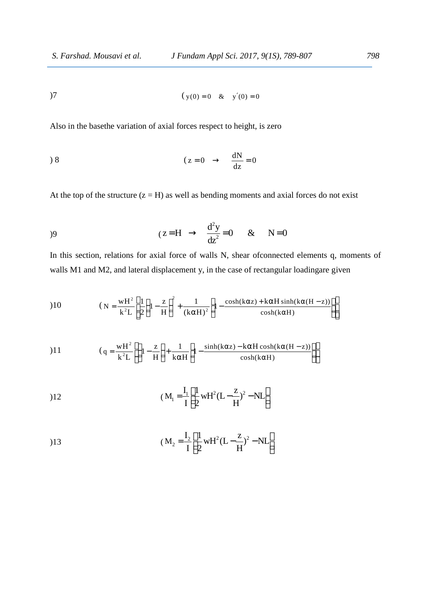$$
(y(0) = 0 \& y'(0) = 0
$$

S. Farshad. Mousavi et al. J Fundam Appl Sci. 2017, 9(15), 789-807 798<br>
( $y(0) = 0$  &  $y'(0) = 0$ <br>
Also in the base the variation of axial forces respect to height, is zero Also in the basethe variation of axial forces respect to height, is zero

) 8 ( dN z 0 0 dz

 At the top of the structure  $(z = H)$  as well as bending moments and axial forces do not exist

$$
(z=H \to \frac{d^2y}{dz^2} = 0 \& N=0
$$

*J Fundam Appl Sci. 2017, 9(1S), 789-807* 798<br>
( $y(0) = 0$  &  $y'(0) = 0$ <br>
xial forces respect to height, is zero<br>
( $z = 0$   $\rightarrow$   $\frac{dN}{dz} = 0$ <br>
as well as bending moments and axial forces do not exist<br>  $z = H \rightarrow \frac{d^2y}{dz^2} = 0$  & *J Fundam Appl Sci. 2017, 9(1S), 789-807* 798<br>
( $y(0) = 0$  &  $y'(0) = 0$ <br>
al forces respect to height, is zero<br>
( $z = 0$   $\rightarrow \frac{dN}{dz} = 0$ <br>
as well as bending moments and axial forces do not exist<br>  $= H \rightarrow \frac{d^2y}{dz^2} = 0$  &  $N = 0$ In this section, relations for axial force of walls N, shear ofconnected elements q, moments of walls M1 and M2, and lateral displacement y, in the case of rectangular loadingare given and axial forces do not exist<br>
N = 0<br>
connected elements q, moments connected elements q, moments connected elements q, moments context<br>  $\frac{1}{\cosh(k\alpha H)}$ <br>  $\left[\frac{\cosh(k\alpha(H-z))}{\cosh(k\alpha(H-z))}\right]$ ght, is zero<br>
= 0<br>
ents and axial forces do not exist<br>
& N=0<br>
ar of connected elements q, moments of<br>
of rectangular loadingare given<br>  $\alpha$ z) + kαH sinh(kα(H - z))<br>  $\begin{bmatrix} \alpha \\ \alpha \end{bmatrix}$ <br>  $\alpha$ H cosh(kα(H - z)) ]]  $\frac{dN}{dz} = 0$ <br>g moments and axial forces do not exist<br>=0 & N=0<br>V, shear ofconnected elements q, moments of<br>case of rectangular loadingare given<br> $\frac{\cosh(k\alpha z) + k\alpha H \sinh(k\alpha(H - z))}{\cosh(k\alpha H)}$ <br> $\left[\frac{\alpha z - k\alpha H \cosh(k\alpha(H - z))}{\cosh(k\alpha H)}\right]$ beta and axial forces do not exist<br>  $\Rightarrow \frac{d^2y}{dz^2} = 0$  &  $N = 0$ <br>  $\Rightarrow \frac{d^2y}{dz^2} = 0$  &  $N = 0$ <br>
of walls N, shear of connected elements q, moments of<br>
nent y, in the case of rectangular loadingare given<br>  $\frac{1}{(k\alpha H)^3} \left[$ Il as bending moments and axial forces do not exist<br>  $\rightarrow \frac{d^2y}{dz^2} = 0$  & N=0<br>
c of walls N, shear of connected elements q, moments of<br>
nent y, in the case of rectangular loadingare given<br>  $\frac{1}{(k\alpha H)^2} \left[ 1 - \frac{\cosh(k\alpha z) +$ az<br>
as bending moments and axial forces do not exist<br>  $\rightarrow \frac{d^2y}{dz^2} = 0$  & N=0<br>
of walls N, shear of connected elements q, moments of<br>
tr y, in the case of rectangular loadingare given<br>  $\frac{1}{\alpha H^3} \left[ 1 - \frac{\cosh(k\alpha z) + k\alpha H \$  $\Rightarrow \frac{d^2y}{dz^2} = 0$  & N=0<br>
of walls N, shear of connected elements q, moments of<br>
ent y, in the case of rectangular loadingare given<br>  $\frac{1}{(\text{k}\alpha H)^2} \Bigg[ 1 - \frac{\cosh(\text{k}\alpha z) + \text{k}\alpha H \sinh(\text{k}\alpha (H - z))}{\cosh(\text{k}\alpha H)} \Bigg]$ <br>  $\frac{1}{\pi} \Bigg[ 1$ dz<sup>2</sup> de 1. 0<br>
of walls N, shear of connected elements q, moments of<br>
ent y, in the case of rectangular loadingare given<br>  $\frac{1}{k\alpha H}$ ;  $\left[1 - \frac{\cosh(k\alpha z) + k\alpha H \sinh(k\alpha(H - z))}{\cosh(k\alpha H)}\right]$ <br>  $\left[1 - \frac{\sinh(k\alpha z) - k\alpha H \cosh(k\alpha(H - z))}{\cosh(k\alpha H$  $\rightarrow \frac{d^2y}{dz^2} = 0$  & N = 0<br>
of walls N, shear of connected elements q, moments of<br>
t y, in the case of rectangular loadingare given<br>  $\frac{1}{2H^3} \left[ 1 - \frac{\cosh(k\alpha z) + k\alpha H \sinh(k\alpha(H - z))}{\cosh(k\alpha H)} \right]$ <br>  $1 - \frac{\sinh(k\alpha z) - k\alpha H \cosh(k\alpha(H - z))}{\$ 

1)7 (y(0) = 0 & x y'(0) = 0  
\nAlso in the baseline variation of axial forces respect to height, is zero  
\n1)8 (z = 0 → 
$$
\frac{dN}{dz} = 0
$$
  
\nAt the top of the structure (z = H) as well as bending moments and axial forces do not exist  
\n1)9 (z = H →  $\frac{d^2y}{dz^2} = 0$  & N = 0  
\nIn this section, relations for axial force of walls N, shear ofconnected elements q, moments of  
\nwalls M1 and M2, and lateral displacement y, in the case of rectangular loadingare given  
\n1)10 (x =  $\frac{wH^2}{k^2L} \left[ \frac{1}{2} \left( 1 - \frac{z}{H} \right)^2 + \frac{1}{(k\alpha H)^2} \left[ 1 - \frac{\cosh(k\alpha z) + k\alpha H \sinh(k\alpha(H - z))}{\cosh(k\alpha H)} \right] \right]$   
\n1)11 (q =  $\frac{wH^2}{k^2L} \left[ \left( 1 - \frac{z}{H} \right) + \frac{1}{k\alpha H} \left[ 1 - \frac{\sinh(k\alpha z) - k\alpha H \cosh(k\alpha(H - z))}{\cosh(k\alpha H)} \right] \right]$   
\n1)12 (M<sub>1</sub> =  $\frac{I_1}{I} \left[ \frac{1}{2} wH^2(L - \frac{z}{H})^2 - NL \right]$ 

$$
(q = \frac{wH^{2}}{k^{2}L} \left[ \left( 1 - \frac{z}{H} \right) + \frac{1}{k\alpha H} \left[ 1 - \frac{\sinh(k\alpha z) - k\alpha H \cosh(k\alpha (H - z))}{\cosh(k\alpha H)} \right] \right]
$$
  
112 
$$
(M_{1} = \frac{I_{1}}{I} \left[ \frac{1}{2} wH^{2} (L - \frac{z}{H})^{2} - NL \right]
$$
  
13 
$$
(M_{2} = \frac{I_{2}}{I} \left[ \frac{1}{2} wH^{2} (L - \frac{z}{H})^{2} - NL \right]
$$

$$
(M_1 = \frac{I_1}{I} \left[ \frac{1}{2} w H^2 (L - \frac{z}{H})^2 - NL \right]
$$

$$
(M_2 = \frac{I_2}{I} \left[ \frac{1}{2} w H^2 (L - \frac{z}{H})^2 - NL \right]
$$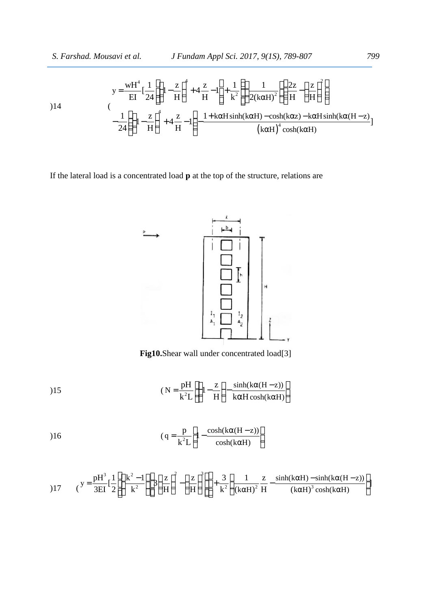S. Farshad. Mousavi et al. J Fundam Appl Sci. 2017, 9(1S), 789-807 799  
\n
$$
y = \frac{wH^4}{EI} \left[ \frac{1}{24} \left[ \left( 1 - \frac{z}{H} \right)^4 + 4 \frac{z}{H} - 1 \right] + \frac{1}{k^2} \left\{ \left( \frac{1}{2(k\alpha H)^2} \left( \frac{2z}{H} - \left( \frac{z}{H} \right)^2 \right) \right\} - \frac{1}{24} \left( \left( 1 - \frac{z}{H} \right)^4 + 4 \frac{z}{H} - 1 \right) - \frac{1 + k\alpha H \sinh(k\alpha H) - \cosh(k\alpha z) - k\alpha H \sinh(k\alpha (H - z))}{(k\alpha H)^4 \cosh(k\alpha H)}
$$
\nIf the lateral load is a concentrated load **p** at the top of the structure, relations are

If the lateral load is a concentrated load **p** at the top of the structure, relations are



**Fig10.**Shear wall under concentrated load[3]

$$
(N = \frac{pH}{k^2L} \left[ \left( 1 - \frac{z}{H} \right) - \frac{\sinh(k\alpha(H - z))}{k\alpha H \cosh(k\alpha H)} \right]
$$

$$
(q = \frac{p}{k^2 L} \left[ 1 - \frac{\cosh(k\alpha(H - z))}{\cosh(k\alpha H)} \right]
$$

$$
\left[\begin{array}{c}\n\frac{1}{h} \\
\frac{1}{h_1} \\
\frac{1}{h_2} \\
\frac{1}{h_3}\n\end{array}\right]_1^4
$$
\n
$$
\left[\begin{array}{c}\n\frac{1}{h_1} \\
\frac{1}{h_2} \\
\frac{1}{h_3}\n\end{array}\right]_1^4
$$
\n
$$
\left[\begin{array}{c}\n\frac{1}{h_1} \\
\frac{1}{h_2} \\
\frac{1}{h_3}\n\end{array}\right]_1^4
$$
\n
$$
\left(\text{N} = \frac{pH}{k^2L} \left[\left(1 - \frac{z}{H}\right) - \frac{\sinh(k\alpha(H - z))}{k\alpha H \cosh(k\alpha H)}\right]\right]
$$
\n
$$
\left(\text{q} = \frac{p}{k^2L} \left[1 - \frac{\cosh(k\alpha(H - z))}{\cosh(k\alpha H)}\right]\right]
$$
\n
$$
\left(\text{q} = \frac{pH^3}{3EI} \left[\frac{1}{2} \left(\frac{k^2 - 1}{k^2}\right) \left[\frac{z}{H}\right]^2 - \left(\frac{z}{H}\right)^3\right]\right] + \frac{3}{k^2} \left(\frac{1}{(k\alpha H)^2} \frac{z}{H} - \frac{\sinh(k\alpha H) - \sinh(k\alpha(H - z))}{(k\alpha H)^3 \cosh(k\alpha H)}\right)
$$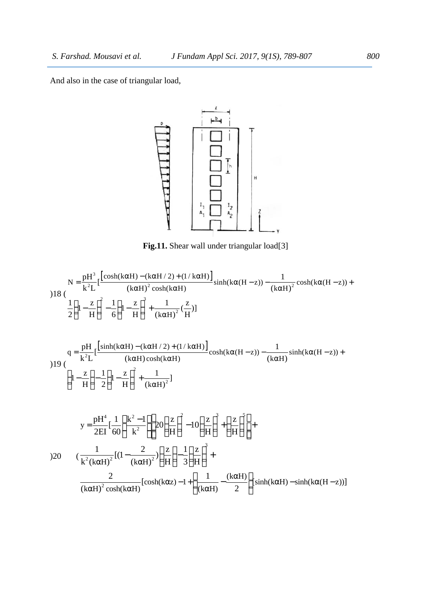And also in the case of triangular load,



**Fig.11.** Shear wall under triangular load[3]

And also in the case of triangular load,  
\n
$$
N = \frac{pH^3}{k^2 L} \left[ \frac{\cosh(k\alpha H) - (k\alpha H/2) + (1/k\alpha H)}{(k\alpha H)^2 \cosh(k\alpha H)} \sinh(k\alpha (H - z)) - \frac{1}{(k\alpha H)^2} \cosh(k\alpha (H - z)) + \frac{1}{2} \left( 1 - \frac{z}{H} \right)^2 - \frac{1}{6} \left( 1 - \frac{z}{H} \right)^2 + \frac{1}{(k\alpha H)^2} \left( \frac{z}{(k\alpha H)^2} \right) \sinh(k\alpha (H - z)) - \frac{1}{(k\alpha H)^2} \cosh(k\alpha (H - z)) + \frac{1}{2} \left( 1 - \frac{z}{H} \right)^2 - \frac{1}{6} \left( 1 - \frac{z}{H} \right)^2 + \frac{1}{(k\alpha H)^2} \left( \frac{z}{H} \right) 1
$$
\n
$$
y = \frac{pH^3}{2EI} \left[ \frac{\sinh(k\alpha H) - (k\alpha H/2) + (1/k\alpha H)}{(k\alpha H) \cosh(k\alpha H)} \cosh(k\alpha (H - z)) - \frac{1}{(k\alpha H)} \sinh(k\alpha (H - z)) + \frac{1}{2} \left( 1 - \frac{z}{H} \right)^2 - \frac{1}{2} \left( 1 - \frac{z}{H} \right)^2 + \frac{1}{(k\alpha H)^2} \right]
$$
\n
$$
y = \frac{pH^4}{2EI} \left[ \frac{1}{\alpha} \left( \frac{k^2 - 1}{k^2} \right) \left[ 2\alpha \left( \frac{z}{H} \right)^2 - 10 \left( \frac{z}{H} \right)^3 + \left( \frac{z}{H} \right)^3 \right] + \frac{2}{(k\alpha H)^2} \left[ (1 - \frac{2}{(k\alpha H)^2}) \left[ \cosh(k\alpha z) - 1 + \left( \frac{1}{(k\alpha H)} - \frac{(k\alpha H)}{2} \right) \sinh(k\alpha H) - \sinh(k\alpha (H - z)) \right]
$$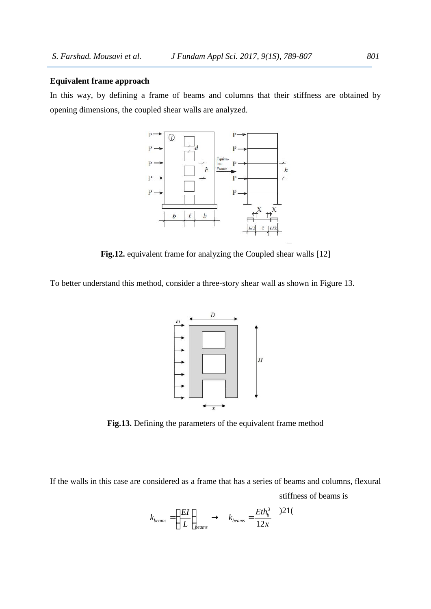#### **Equivalent frame approach**

In this way, by defining a frame of beams and columns that their stiffness are obtained by opening dimensions, the coupled shear walls are analyzed.



**Fig.12.** equivalent frame for analyzing the Coupled shear walls [12]

To better understand this method, consider a three-story shear wall as shown in Figure 13.



**Fig.13.** Defining the parameters of the equivalent frame method

If the walls in this case are considered as a frame that has a series of beams and columns, flexural stiffness of beams is

)21( <sup>3</sup> 12 *b beams beams beams*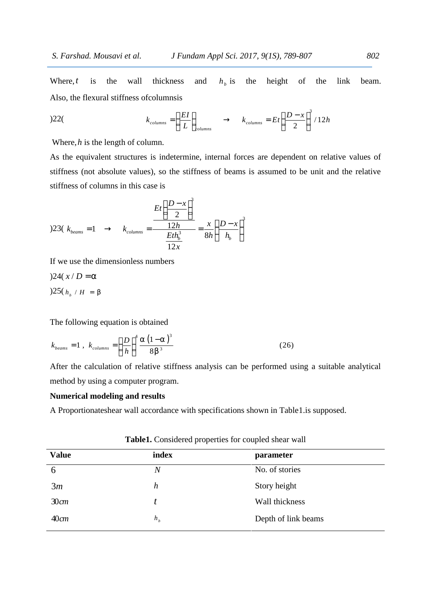Where,  $t$  is the wall thickness and  $h<sub>b</sub>$  is the height of the link beam. Also, the flexural stiffness ofcolumnsis Fundam Appl Sci. 2017, 9(1S), 789-807 802<br>
ess and  $h_b$  is the height of the link beam.<br>
is<br>  $\left(\frac{EI}{L}\right)_{\text{columns}} \rightarrow k_{\text{columns}} = Et\left(\frac{D-x}{2}\right)^3/12h$ <br>
ermine, internal forces are dependent on relative values of

$$
k_{columns} = \left(\frac{EI}{L}\right)_{columns} \rightarrow k_{columns} = Et\left(\frac{D-x}{2}\right)^3/12h
$$

Where,*h* is the length of column.

 $802$ <br>the link beam.<br>/12h<br>n relative values of<br>nit and the relative *columns 4 B*  $P$  *<i>columns columns* **columns columns columns c c** *c columns* **c c** *c columns* **c c** *c columns* **c c** *c columns* **c c** *c columns* **c c** *c columns* **c c** *c c colum J Fundam Appl Sci. 2017, 9(1S), 789-807* 802<br>
ness and  $h_b$  is the height of the link beam.<br>
nsis<br>  $=\left(\frac{EI}{L}\right)_{\text{columns}} \rightarrow k_{\text{columns}} = Et\left(\frac{D-x}{2}\right)^3/12h$ <br>
determine, internal forces are dependent on relative values of<br>
the sti As the equivalent structures is indetermine, internal forces are dependent on relative values of stiffness (not absolute values), so the stiffness of beams is assumed to be unit and the relative stiffness of columns in this case is *J Fundam Appl Sci. 2017, 9(1S), 789-86*<br>
chickness and  $h_b$  is the height of<br>
blumnsis<br>
blumns =  $\left(\frac{EI}{L}\right)_{\text{columns}} \rightarrow k_{\text{columns}} = Et\left(\frac{D-x}{2}\right)$ <br>
mn.<br>
indetermine, internal forces are dependent<br> *n*, so the stiffness of beam *h housavi et al. <i>f Fundam Appl Sci. 2017, 9(1S), 789-807*<br> **re,** *t* is the wall thickness and  $h_b$  is the height of the link<br>
the flexural stiffness of<br> *k*  $k_{\text{colinear}} = \left(\frac{EI}{L}\right)_{\text{colinear}} \rightarrow k_{\text{colinear}} = Et\left(\frac{D-x}{2}\right)^3/$ *J* Fundam Appl Sci. 2017, 9(1S), 789-807<br>
kness and  $h_b$  is the height of the link t<br>
nnsis<br>  $= \left(\frac{EI}{L}\right)_{\text{columns}} \rightarrow k_{\text{columns}} = Et \left(\frac{D-x}{2}\right)^3 / 12h$ <br>
determine, internal forces are dependent on relative valu<br>
the stiffness of *J Fundam Appl Sci. 2017, 9(1S), 789-807*<br>
ckness and  $h_b$  is the height of the<br>
mnsis<br>  $h_b$  is the height of the<br>
mnsis<br>  $h_b$  is the height of the<br>
mnsis<br>  $h_b$  is the height of the<br>
mnsis<br>  $k_{\text{columns}} = Et \left( \frac{D-x}{2} \right)^3 / 12I$ *J Fundam Appl Sci. 2017, 9(IS), 789-807*<br>
Ekness and  $h_b$  is the height of the link beam<br>
mmsis<br>  $u = \left(\frac{EI}{L}\right)_{\text{columns}} \rightarrow k_{\text{columns}} = Et\left(\frac{D-x}{2}\right)^3/12h$ <br>
Adetermine, internal forces are dependent on relative values of<br>  $\left(\frac{$ d. Mousavi et al. J Fundam Appl Sci. 2017, 9(18), 789-807<br>
is the wall thickness and  $h_b$  is the height of the link<br>
lexural stiffness of columnsis<br>  $k_{\text{column}} = \left(\frac{EI}{L}\right)_{\text{column}} \rightarrow k_{\text{column}} = E_I \left(\frac{D - x}{2}\right)^3 / 12h$ <br>
s the length *h* is the length of column.<br>
equivalent structures is indetermine, internal forces are dependent on relative values of<br>
(not absolute values), so the stiffness of beams is assumed to be unit and the relative<br>
sof columns  $k_{columns} = \left(\frac{EL}{L}\right)_{columns}$   $\rightarrow$   $k_{columns} = Et\left(\frac{D-x}{2}\right) / 12h$ <br>olumn.<br>olumn.<br>es is indetermine, internal forces are dependent on relatives), so the stiffness of beams is assumed to be unit an<br>case is<br> $\frac{Et\left(\frac{D-x}{2}\right)^3}{\frac{12h_0^3}{1$  $k_{columns} = \left(\frac{LT}{L}\right)_{columns}$   $\rightarrow$   $k_{columns} = Et\left(\frac{D-X}{2}\right)$ <br>
th of column.<br>
tructures is indetermine, internal forces are dependent<br>
tte values), so the stiffness of beams is assumed to be<br>
in this case is<br>  $Et\left(\frac{D-x}{2}\right)^3$ <br>  $k_{columns} = \$ 

Where, *t* is the wall thickness and 
$$
h_b
$$
 is the height of the li  
\nAlso, the flexural stiffness ofcolumns  
\n)22( $k_{\text{columns}} = \left(\frac{EI}{L}\right)_{\text{columns}} \rightarrow k_{\text{columns}} = Et\left(\frac{D-x}{2}\right)^3/12h$   
\nWhere, *h* is the length of column.  
\nAs the equivalent structures is indeterminate, internal forces are dependent on relativity  
\nstiffness (not absolute values), so the stiffness of beams is assumed to be unit and 1  
\nstiffness of columns in this case is  
\n
$$
\frac{Et\left(\frac{D-x}{2}\right)^3}{\frac{2D}{2}}
$$
\n)23( $k_{\text{beam}} = 1 \rightarrow k_{\text{columns}} = \frac{\frac{12h}{12h}}{\frac{12h}{12x}} = \frac{x}{8h}\left(\frac{D-x}{h_b}\right)^3$   
\nIf we use the dimensionless numbers  
\n)24( $x/D = r$   
\n)25( $h_b / H = s$   
\nThe following equation is obtained  
\n $k_{\text{beam}} = 1, k_{\text{column}} = \left(\frac{D}{h}\right)^4 \frac{r(1-r)^3}{8s^3}$  (26)  
\nAfter the calculation of relative stiffness analysis can be performed using a suitable  
\nmethod by using a computer program.  
\nNumerical modeling and results

If we use the dimensionless numbers

The following equation is obtained

$$
k_{\text{beams}} = 1 \, , \, k_{\text{columns}} = \left(\frac{D}{h}\right)^4 \frac{\Gamma\left(1-\Gamma\right)^3}{8\,\text{s}^3} \tag{26}
$$

23( $k_{beams} = 1 \rightarrow k_{columns} = \frac{12h}{Eth_b^3} = \frac{x}{8h} \left( \frac{D-x}{h_b} \right)$ <br>  $\frac{Eth_b^3}{12x} = \frac{x}{8h} \left( \frac{D-x}{h_b} \right)$ <br>  $\frac{24(x/D) = \Gamma}{25(h_b/H)} = \frac{25(h_b/H)}{8h} = \frac{25}{h}$ <br>
the following equation is obtained<br>  $\frac{beams}{12h} = 1, k_{columns} = \left( \frac{D}{h} \right)^4 \frac{\Gamma(1-\Gamma$ After the calculation of relative stiffness analysis can be performed using a suitable analytical method by using a computer program.

### **Numerical modeling and results**

A Proportionateshear wall accordance with specifications shown in Table1.is supposed.

| <b>Value</b> | index          | parameter           |
|--------------|----------------|---------------------|
| 6            | Ν              | No. of stories      |
| 3m           | h              | Story height        |
| $30$ cm      | t.             | Wall thickness      |
| $40$ cm      | h <sub>b</sub> | Depth of link beams |

**Table1.** Considered properties for coupled shear wall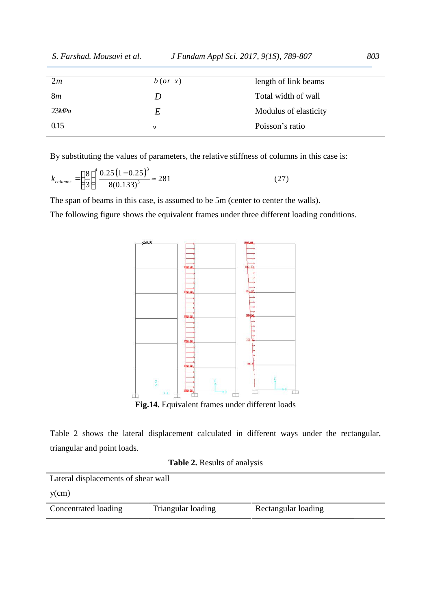| S. Farshad. Mousavi et al.                                                                        |            | J Fundam Appl Sci. 2017, 9(1S), 789-807                                                      | 803 |  |
|---------------------------------------------------------------------------------------------------|------------|----------------------------------------------------------------------------------------------|-----|--|
| 2m                                                                                                | $b$ (or x) | length of link beams                                                                         |     |  |
| 8m                                                                                                | D          | Total width of wall                                                                          |     |  |
| 23MPa                                                                                             | $E\,$      | Modulus of elasticity                                                                        |     |  |
| 0.15                                                                                              | €          | Poisson's ratio                                                                              |     |  |
|                                                                                                   |            | By substituting the values of parameters, the relative stiffness of columns in this case is: |     |  |
|                                                                                                   |            |                                                                                              |     |  |
| $k_{columns} = \left(\frac{8}{3}\right)^4 \frac{0.25 (1-0.25)^3}{8(0.133)^3} \approx 281$<br>(27) |            |                                                                                              |     |  |
| The span of beams in this case, is assumed to be 5m (center to center the walls).                 |            |                                                                                              |     |  |
| The following figure shows the equivalent frames under three different loading conditions.        |            |                                                                                              |     |  |
|                                                                                                   |            |                                                                                              |     |  |
| 1442.22                                                                                           |            |                                                                                              |     |  |

$$
k_{columns} = \left(\frac{8}{3}\right)^4 \frac{0.25 \left(1 - 0.25\right)^3}{8(0.133)^3} \approx 281\tag{27}
$$



Table 2 shows the lateral displacement calculated in different ways under the rectangular, triangular and point loads.

|  |  | <b>Table 2.</b> Results of analysis |  |
|--|--|-------------------------------------|--|
|--|--|-------------------------------------|--|

| Lateral displacements of shear wall |                    |                     |  |
|-------------------------------------|--------------------|---------------------|--|
| $y$ (cm)                            |                    |                     |  |
| Concentrated loading                | Triangular loading | Rectangular loading |  |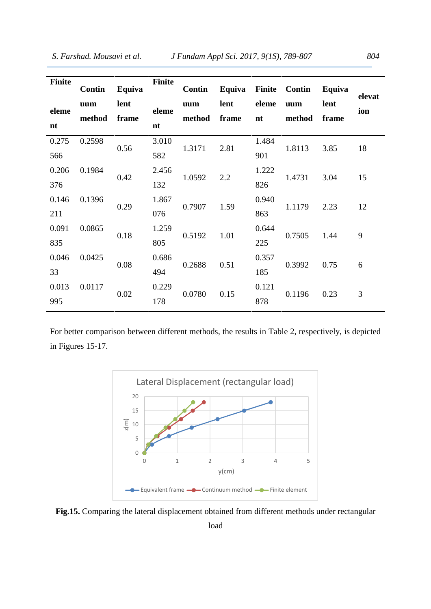| <b>Finite</b> | Contin        | Equiva        | <b>Finite</b> | Contin        | Equiva        |             | Finite Contin | Equiva        | elevat |
|---------------|---------------|---------------|---------------|---------------|---------------|-------------|---------------|---------------|--------|
| eleme<br>nt   | uum<br>method | lent<br>frame | eleme<br>nt   | uum<br>method | lent<br>frame | eleme<br>nt | uum<br>method | lent<br>frame | ion    |
| 0.275         | 0.2598        | 0.56          | 3.010         | 1.3171        | 2.81          | 1.484       | 1.8113        | 3.85          | 18     |
| 566           |               |               | 582           |               |               | 901         |               |               |        |
| 0.206         | 0.1984        | 0.42          | 2.456         | 1.0592        | 2.2           | 1.222       | 1.4731        | 3.04          | 15     |
| 376           |               |               | 132           |               |               | 826         |               |               |        |
| 0.146         | 0.1396        | 0.29          | 1.867         | 0.7907        | 1.59          | 0.940       | 1.1179        | 2.23          | 12     |
| 211           |               |               | 076           |               |               | 863         |               |               |        |
| 0.091         | 0.0865        | 0.18          | 1.259         | 0.5192        | 1.01          | 0.644       | 0.7505        | 1.44          | 9      |
| 835           |               |               | 805           |               |               | 225         |               |               |        |
| 0.046         | 0.0425        | 0.08          | 0.686         | 0.2688        | 0.51          | 0.357       | 0.3992        | 0.75          | 6      |
| 33            |               |               | 494           |               |               | 185         |               |               |        |
| 0.013         | 0.0117        | 0.02          | 0.229         | 0.0780        | 0.15          | 0.121       | 0.1196        | 0.23          | 3      |
| 995           |               |               | 178<br>878    |               |               |             |               |               |        |

For better comparison between different methods, the results in Table 2, respectively, is depicted in Figures 15-17.



**Fig.15.** Comparing the lateral displacement obtained from different methods under rectangular

load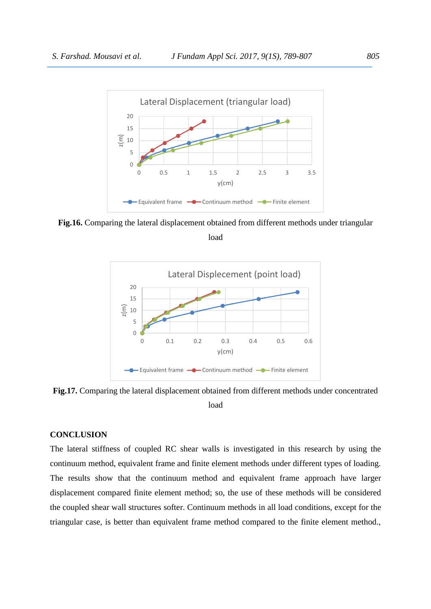

**Fig.16.** Comparing the lateral displacement obtained from different methods under triangular

load



**Fig.17.** Comparing the lateral displacement obtained from different methods under concentrated load

# **CONCLUSION**

The lateral stiffness of coupled RC shear walls is investigated in this research by using the continuum method, equivalent frame and finite element methods under different types of loading. The results show that the continuum method and equivalent frame approach have larger displacement compared finite element method; so, the use of these methods will be considered the coupled shear wall structures softer. Continuum methods in all load conditions, except for the triangular case, is better than equivalent frame method compared to the finite element method.,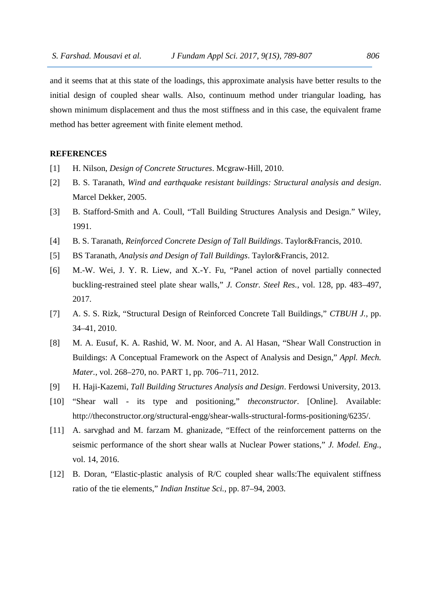and it seems that at this state of the loadings, this approximate analysis have better results to the initial design of coupled shear walls. Also, continuum method under triangular loading, has shown minimum displacement and thus the most stiffness and in this case, the equivalent frame method has better agreement with finite element method.

# **REFERENCES**

- [1] H. Nilson, *Design of Concrete Structures*. Mcgraw-Hill, 2010.
- [2] B. S. Taranath, *Wind and earthquake resistant buildings: Structural analysis and design*. Marcel Dekker, 2005.
- [3] B. Stafford-Smith and A. Coull, "Tall Building Structures Analysis and Design." Wiley, 1991.
- [4] B. S. Taranath, *Reinforced Concrete Design of Tall Buildings*. Taylor&Francis, 2010.
- [5] BS Taranath, *Analysis and Design of Tall Buildings*. Taylor&Francis, 2012.
- [6] M.-W. Wei, J. Y. R. Liew, and X.-Y. Fu, "Panel action of novel partially connected buckling-restrained steel plate shear walls," *J. Constr. Steel Res.*, vol. 128, pp. 483–497, 2017.
- [7] A. S. S. Rizk, "Structural Design of Reinforced Concrete Tall Buildings," *CTBUH J.*, pp. 34–41, 2010.
- [8] M. A. Eusuf, K. A. Rashid, W. M. Noor, and A. Al Hasan, "Shear Wall Construction in Buildings: A Conceptual Framework on the Aspect of Analysis and Design," *Appl. Mech. Mater.*, vol. 268–270, no. PART 1, pp. 706–711, 2012.
- [9] H. Haji-Kazemi, *Tall Building Structures Analysis and Design*. Ferdowsi University, 2013.
- [10] "Shear wall its type and positioning," *theconstructor*. [Online]. Available: http://theconstructor.org/structural-engg/shear-walls-structural-forms-positioning/6235/.
- [11] A. sarvghad and M. farzam M. ghanizade, "Effect of the reinforcement patterns on the seismic performance of the short shear walls at Nuclear Power stations," *J. Model. Eng.*, vol. 14, 2016.
- [12] B. Doran, "Elastic-plastic analysis of R/C coupled shear walls: The equivalent stiffness ratio of the tie elements," *Indian Institue Sci.*, pp. 87–94, 2003.